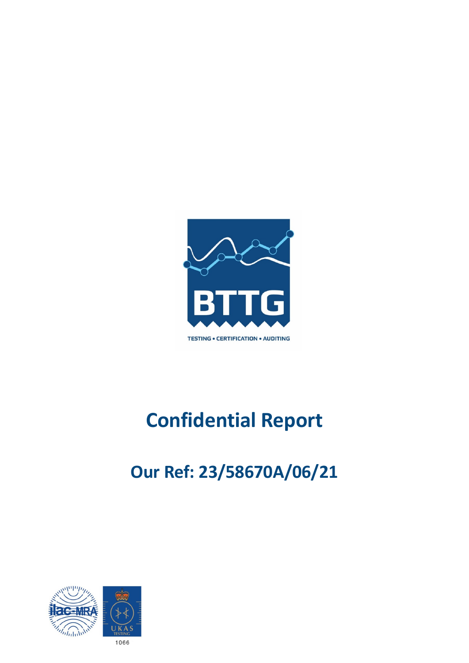

# **Confidential Report**

# **Our Ref: 23/58670A/06/21**

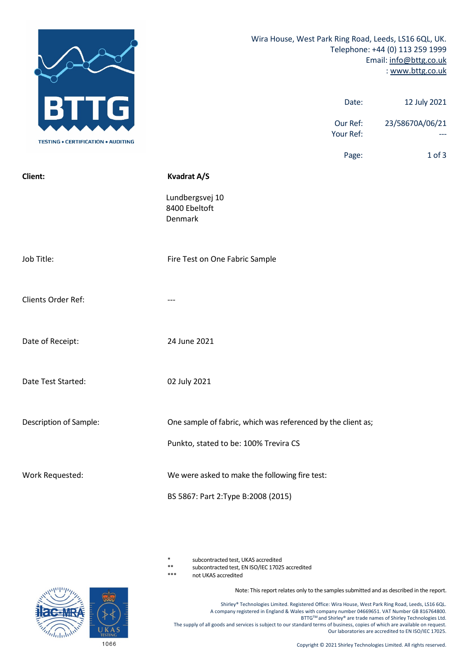|                                           | Wira House, West Park Ring Road, Leeds, LS16 6QL, UK.<br>Telephone: +44 (0) 113 259 1999<br>Email: info@bttg.co.uk<br>: www.bttg.co.uk |                 |  |
|-------------------------------------------|----------------------------------------------------------------------------------------------------------------------------------------|-----------------|--|
| В<br>G                                    | Date:                                                                                                                                  | 12 July 2021    |  |
| <b>TESTING . CERTIFICATION . AUDITING</b> | Our Ref:<br>Your Ref:                                                                                                                  | 23/58670A/06/21 |  |
|                                           | Page:                                                                                                                                  | $1$ of $3$      |  |
| Client:                                   | <b>Kvadrat A/S</b>                                                                                                                     |                 |  |
|                                           | Lundbergsvej 10<br>8400 Ebeltoft<br>Denmark                                                                                            |                 |  |
| Job Title:                                | Fire Test on One Fabric Sample                                                                                                         |                 |  |
| Clients Order Ref:                        |                                                                                                                                        |                 |  |
| Date of Receipt:                          | 24 June 2021                                                                                                                           |                 |  |
| Date Test Started:                        | 02 July 2021                                                                                                                           |                 |  |
| Description of Sample:                    | One sample of fabric, which was referenced by the client as;                                                                           |                 |  |
|                                           | Punkto, stated to be: 100% Trevira CS                                                                                                  |                 |  |
| Work Requested:                           | We were asked to make the following fire test:                                                                                         |                 |  |
|                                           | BS 5867: Part 2: Type B: 2008 (2015)                                                                                                   |                 |  |

subcontracted test, UKAS accredited

\*\* subcontracted test, EN ISO/IEC 17025 accredited

not UKAS accredited

Note: This report relates only to the samples submitted and as described in the report.

Shirley® Technologies Limited. Registered Office: Wira House, West Park Ring Road, Leeds, LS16 6QL. A company registered in England & Wales with company number 04669651. VAT Number GB 816764800. BTTG™ and Shirley® are trade names of Shirley Technologies Ltd. The supply of all goods and services is subject to our standard terms of business, copies of which are available on request. Our laboratories are accredited to EN ISO/IEC 17025.

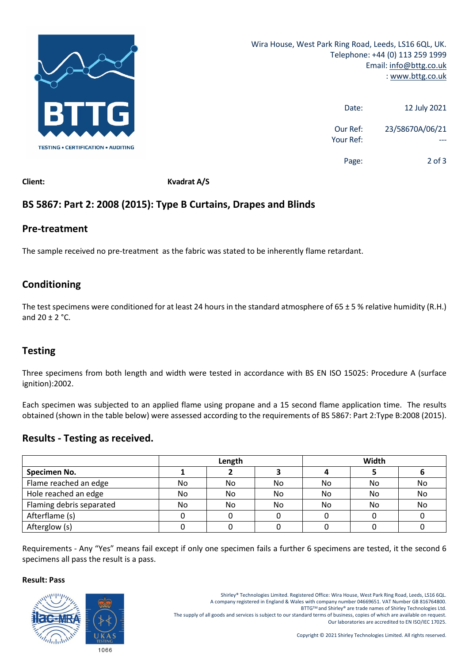

| 12 July 2021    | Date:                 |
|-----------------|-----------------------|
| 23/58670A/06/21 | Our Ref:<br>Your Ref: |
| $2$ of 3        | Page:                 |

**Client: Kvadrat A/S**

# **BS 5867: Part 2: 2008 (2015): Type B Curtains, Drapes and Blinds**

### **Pre-treatment**

The sample received no pre-treatment as the fabric was stated to be inherently flame retardant.

# **Conditioning**

The test specimens were conditioned for at least 24 hours in the standard atmosphere of  $65 \pm 5$  % relative humidity (R.H.) and  $20 + 2$  °C.

## **Testing**

Three specimens from both length and width were tested in accordance with BS EN ISO 15025: Procedure A (surface ignition):2002.

Each specimen was subjected to an applied flame using propane and a 15 second flame application time. The results obtained (shown in the table below) were assessed according to the requirements of BS 5867: Part 2:Type B:2008 (2015).

### **Results - Testing as received.**

|                          | Length |    |     | Width |    |    |
|--------------------------|--------|----|-----|-------|----|----|
| Specimen No.             |        |    |     |       |    |    |
| Flame reached an edge    | No.    | No | No. | No    | No | No |
| Hole reached an edge     | No     | No | No. | No    | No | No |
| Flaming debris separated | No.    | No | No. | No    | No | No |
| Afterflame (s)           |        |    |     |       |    |    |
| Afterglow (s)            |        |    |     |       |    |    |

Requirements - Any "Yes" means fail except if only one specimen fails a further 6 specimens are tested, it the second 6 specimens all pass the result is a pass.

#### **Result: Pass**



Shirley® Technologies Limited. Registered Office: Wira House, West Park Ring Road, Leeds, LS16 6QL. A company registered in England & Wales with company number 04669651. VAT Number GB 816764800.

BTTGTM and Shirley® are trade names of Shirley Technologies Ltd.

The supply of all goods and services is subject to our standard terms of business, copies of which are available on request. Our laboratories are accredited to EN ISO/IEC 17025.